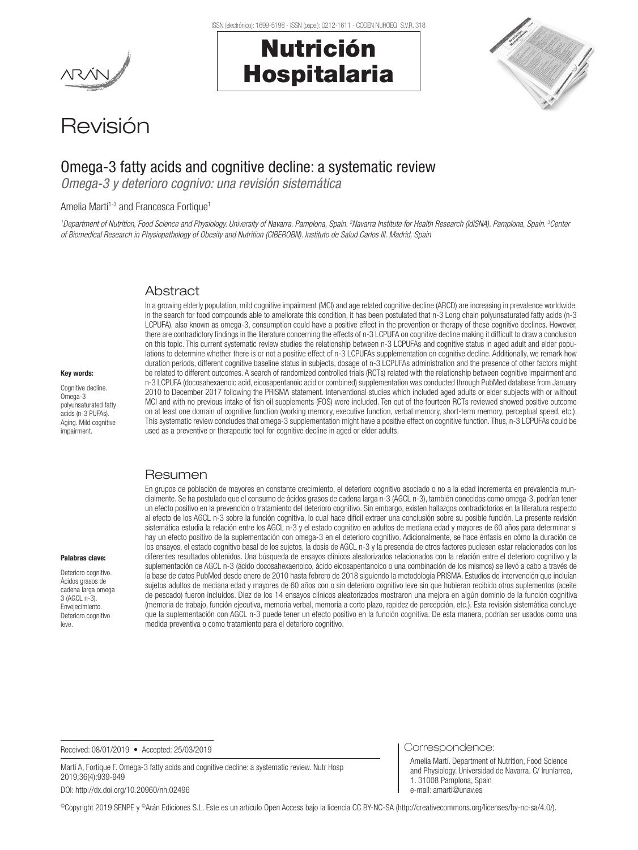ISSN (electrónico): 1699-5198 - ISSN (papel): 0212-1611 - CODEN NUHOEQ S.V.R. 318

# Nutrición Hospitalaria



## Revisión

### Omega-3 fatty acids and cognitive decline: a systematic review

*Omega-3 y deterioro cognivo: una revisión sistemática*

#### Amelia Martí<sup>1-3</sup> and Francesca Fortique<sup>1</sup>

*1 Department of Nutrition, Food Science and Physiology. University of Navarra. Pamplona, Spain. 2 Navarra Institute for Health Research (IdiSNA). Pamplona, Spain. 3 Center of Biomedical Research in Physiopathology of Obesity and Nutrition (CIBEROBN). Instituto de Salud Carlos III. Madrid, Spain*

#### Abstract

In a growing elderly population, mild cognitive impairment (MCI) and age related cognitive decline (ARCD) are increasing in prevalence worldwide. In the search for food compounds able to ameliorate this condition, it has been postulated that n-3 Long chain polyunsaturated fatty acids (n-3 LCPUFA), also known as omega-3, consumption could have a positive effect in the prevention or therapy of these cognitive declines. However, there are contradictory findings in the literature concerning the effects of n-3 LCPUFA on cognitive decline making it difficult to draw a conclusion on this topic. This current systematic review studies the relationship between n-3 LCPUFAs and cognitive status in aged adult and elder populations to determine whether there is or not a positive effect of n-3 LCPUFAs supplementation on cognitive decline. Additionally, we remark how duration periods, different cognitive baseline status in subjects, dosage of n-3 LCPUFAs administration and the presence of other factors might be related to different outcomes. A search of randomized controlled trials (RCTs) related with the relationship between cognitive impairment and n-3 LCPUFA (docosahexaenoic acid, eicosapentanoic acid or combined) supplementation was conducted through PubMed database from January 2010 to December 2017 following the PRISMA statement. Interventional studies which included aged adults or elder subjects with or without MCI and with no previous intake of fish oil supplements (FOS) were included. Ten out of the fourteen RCTs reviewed showed positive outcome on at least one domain of cognitive function (working memory, executive function, verbal memory, short-term memory, perceptual speed, etc.). This systematic review concludes that omega-3 supplementation might have a positive effect on cognitive function. Thus, n-3 LCPUFAs could be used as a preventive or therapeutic tool for cognitive decline in aged or elder adults.

#### Resumen

En grupos de población de mayores en constante crecimiento, el deterioro cognitivo asociado o no a la edad incrementa en prevalencia mundialmente. Se ha postulado que el consumo de ácidos grasos de cadena larga n-3 (AGCL n-3), también conocidos como omega-3, podrían tener un efecto positivo en la prevención o tratamiento del deterioro cognitivo. Sin embargo, existen hallazgos contradictorios en la literatura respecto al efecto de los AGCL n-3 sobre la función cognitiva, lo cual hace difícil extraer una conclusión sobre su posible función. La presente revisión sistemática estudia la relación entre los AGCL n-3 y el estado cognitivo en adultos de mediana edad y mayores de 60 años para determinar si hay un efecto positivo de la suplementación con omega-3 en el deterioro cognitivo. Adicionalmente, se hace énfasis en cómo la duración de los ensayos, el estado cognitivo basal de los sujetos, la dosis de AGCL n-3 y la presencia de otros factores pudiesen estar relacionados con los diferentes resultados obtenidos. Una búsqueda de ensayos clínicos aleatorizados relacionados con la relación entre el deterioro cognitivo y la suplementación de AGCL n-3 (ácido docosahexaenoico, ácido eicosapentanoico o una combinación de los mismos) se llevó a cabo a través de la base de datos PubMed desde enero de 2010 hasta febrero de 2018 siguiendo la metodología PRISMA. Estudios de intervención que incluían sujetos adultos de mediana edad y mayores de 60 años con o sin deterioro cognitivo leve sin que hubieran recibido otros suplementos (aceite de pescado) fueron incluidos. Diez de los 14 ensayos clínicos aleatorizados mostraron una mejora en algún dominio de la función cognitiva (memoria de trabajo, función ejecutiva, memoria verbal, memoria a corto plazo, rapidez de percepción, etc.). Esta revisión sistemática concluye que la suplementación con AGCL n-3 puede tener un efecto positivo en la función cognitiva. De esta manera, podrían ser usados como una medida preventiva o como tratamiento para el deterioro cognitivo.

Received: 08/01/2019 • Accepted: 25/03/2019

Martí A, Fortique F. Omega-3 fatty acids and cognitive decline: a systematic review. Nutr Hosp 2019;36(4):939-949

DOI: http://dx.doi.org/10.20960/nh.02496

Correspondence:

Amelia Martí. Department of Nutrition, Food Science and Physiology. Universidad de Navarra. C/ Irunlarrea, 1. 31008 Pamplona, Spain e-mail: amarti@unav.es

©Copyright 2019 SENPE y ©Arán Ediciones S.L. Este es un artículo Open Access bajo la licencia CC BY-NC-SA (http://creativecommons.org/licenses/by-nc-sa/4.0/).

#### Key words:

Cognitive decline. Omega-3 polyunsaturated fatty acids (n-3 PUFAs). Aging. Mild cognitive impairment.

Palabras clave: Deterioro cognitivo. Ácidos grasos de cadena larga omega 3 (AGCL n-3). Envejecimiento. Deterioro cognitivo leve.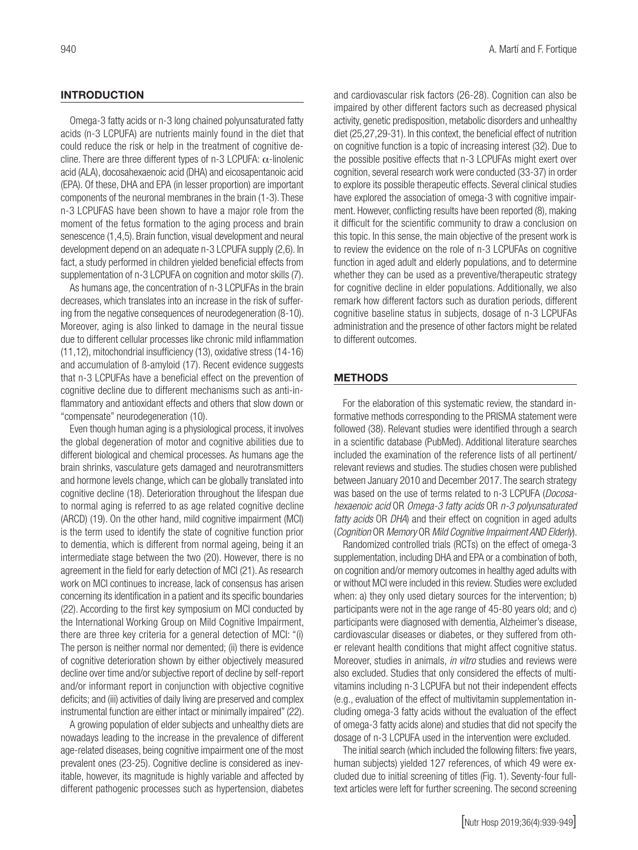#### **INTRODUCTION**

Omega-3 fatty acids or n-3 long chained polyunsaturated fatty acids (n-3 LCPUFA) are nutrients mainly found in the diet that could reduce the risk or help in the treatment of cognitive decline. There are three different types of n-3 LCPUFA:  $\alpha$ -linolenic acid (ALA), docosahexaenoic acid (DHA) and eicosapentanoic acid (EPA). Of these, DHA and EPA (in lesser proportion) are important components of the neuronal membranes in the brain (1-3). These n-3 LCPUFAS have been shown to have a major role from the moment of the fetus formation to the aging process and brain senescence (1,4,5). Brain function, visual development and neural development depend on an adequate n-3 LCPUFA supply (2,6). In fact, a study performed in children yielded beneficial effects from supplementation of n-3 LCPUFA on cognition and motor skills (7).

As humans age, the concentration of n-3 LCPUFAs in the brain decreases, which translates into an increase in the risk of suffering from the negative consequences of neurodegeneration (8-10). Moreover, aging is also linked to damage in the neural tissue due to different cellular processes like chronic mild inflammation (11,12), mitochondrial insufficiency (13), oxidative stress (14-16) and accumulation of ß-amyloid (17). Recent evidence suggests that n-3 LCPUFAs have a beneficial effect on the prevention of cognitive decline due to different mechanisms such as anti-inflammatory and antioxidant effects and others that slow down or "compensate" neurodegeneration (10).

Even though human aging is a physiological process, it involves the global degeneration of motor and cognitive abilities due to different biological and chemical processes. As humans age the brain shrinks, vasculature gets damaged and neurotransmitters and hormone levels change, which can be globally translated into cognitive decline (18). Deterioration throughout the lifespan due to normal aging is referred to as age related cognitive decline (ARCD) (19). On the other hand, mild cognitive impairment (MCI) is the term used to identify the state of cognitive function prior to dementia, which is different from normal ageing, being it an intermediate stage between the two (20). However, there is no agreement in the field for early detection of MCI (21). As research work on MCI continues to increase, lack of consensus has arisen concerning its identification in a patient and its specific boundaries (22). According to the first key symposium on MCI conducted by the International Working Group on Mild Cognitive Impairment, there are three key criteria for a general detection of MCI: "(i) The person is neither normal nor demented; (ii) there is evidence of cognitive deterioration shown by either objectively measured decline over time and/or subjective report of decline by self-report and/or informant report in conjunction with objective cognitive deficits; and (iii) activities of daily living are preserved and complex instrumental function are either intact or minimally impaired" (22).

A growing population of elder subjects and unhealthy diets are nowadays leading to the increase in the prevalence of different age-related diseases, being cognitive impairment one of the most prevalent ones (23-25). Cognitive decline is considered as inevitable, however, its magnitude is highly variable and affected by different pathogenic processes such as hypertension, diabetes and cardiovascular risk factors (26-28). Cognition can also be impaired by other different factors such as decreased physical activity, genetic predisposition, metabolic disorders and unhealthy diet (25,27,29-31). In this context, the beneficial effect of nutrition on cognitive function is a topic of increasing interest (32). Due to the possible positive effects that n-3 LCPUFAs might exert over cognition, several research work were conducted (33-37) in order to explore its possible therapeutic effects. Several clinical studies have explored the association of omega-3 with cognitive impairment. However, conflicting results have been reported (8), making it difficult for the scientific community to draw a conclusion on this topic. In this sense, the main objective of the present work is to review the evidence on the role of n-3 LCPUFAs on cognitive function in aged adult and elderly populations, and to determine whether they can be used as a preventive/therapeutic strategy for cognitive decline in elder populations. Additionally, we also remark how different factors such as duration periods, different cognitive baseline status in subjects, dosage of n-3 LCPUFAs administration and the presence of other factors might be related to different outcomes.

#### METHODS

For the elaboration of this systematic review, the standard informative methods corresponding to the PRISMA statement were followed (38). Relevant studies were identified through a search in a scientific database (PubMed). Additional literature searches included the examination of the reference lists of all pertinent/ relevant reviews and studies. The studies chosen were published between January 2010 and December 2017. The search strategy was based on the use of terms related to n-3 LCPUFA (*Docosahexaenoic acid* OR *Omega-3 fatty acids* OR *n-3 polyunsaturated fatty acids* OR *DHA*) and their effect on cognition in aged adults (*Cognition* OR *Memory* OR *Mild Cognitive Impairment AND Elderly*).

Randomized controlled trials (RCTs) on the effect of omega-3 supplementation, including DHA and EPA or a combination of both, on cognition and/or memory outcomes in healthy aged adults with or without MCI were included in this review. Studies were excluded when: a) they only used dietary sources for the intervention; b) participants were not in the age range of 45-80 years old; and c) participants were diagnosed with dementia, Alzheimer's disease, cardiovascular diseases or diabetes, or they suffered from other relevant health conditions that might affect cognitive status. Moreover, studies in animals, *in vitro* studies and reviews were also excluded. Studies that only considered the effects of multivitamins including n-3 LCPUFA but not their independent effects (e.g., evaluation of the effect of multivitamin supplementation including omega-3 fatty acids without the evaluation of the effect of omega-3 fatty acids alone) and studies that did not specify the dosage of n-3 LCPUFA used in the intervention were excluded.

The initial search (which included the following filters: five years, human subjects) yielded 127 references, of which 49 were excluded due to initial screening of titles (Fig. 1). Seventy-four fulltext articles were left for further screening. The second screening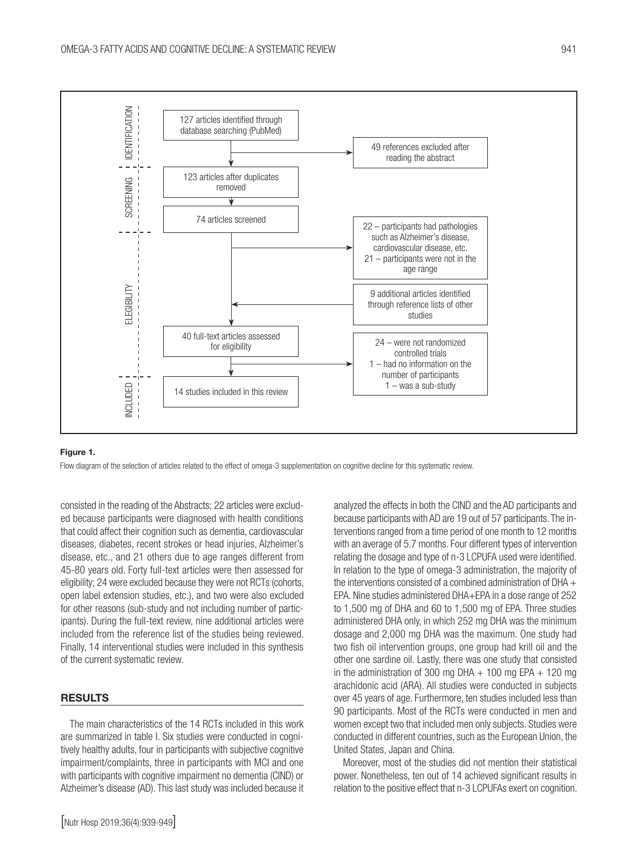

#### Figure 1.

Flow diagram of the selection of articles related to the effect of omega-3 supplementation on cognitive decline for this systematic review.

consisted in the reading of the Abstracts; 22 articles were excluded because participants were diagnosed with health conditions that could affect their cognition such as dementia, cardiovascular diseases, diabetes, recent strokes or head injuries, Alzheimer's disease, etc., and 21 others due to age ranges different from 45-80 years old. Forty full-text articles were then assessed for eligibility; 24 were excluded because they were not RCTs (cohorts, open label extension studies, etc.), and two were also excluded for other reasons (sub-study and not including number of participants). During the full-text review, nine additional articles were included from the reference list of the studies being reviewed. Finally, 14 interventional studies were included in this synthesis of the current systematic review.

#### RESULTS

The main characteristics of the 14 RCTs included in this work are summarized in table I. Six studies were conducted in cognitively healthy adults, four in participants with subjective cognitive impairment/complaints, three in participants with MCI and one with participants with cognitive impairment no dementia (CIND) or Alzheimer's disease (AD). This last study was included because it analyzed the effects in both the CIND and the AD participants and because participants with AD are 19 out of 57 participants. The interventions ranged from a time period of one month to 12 months with an average of 5.7 months. Four different types of intervention relating the dosage and type of n-3 LCPUFA used were identified. In relation to the type of omega-3 administration, the majority of the interventions consisted of a combined administration of DHA + EPA. Nine studies administered DHA+EPA in a dose range of 252 to 1,500 mg of DHA and 60 to 1,500 mg of EPA. Three studies administered DHA only, in which 252 mg DHA was the minimum dosage and 2,000 mg DHA was the maximum. One study had two fish oil intervention groups, one group had krill oil and the other one sardine oil. Lastly, there was one study that consisted in the administration of 300 mg DHA  $+$  100 mg EPA  $+$  120 mg arachidonic acid (ARA). All studies were conducted in subjects over 45 years of age. Furthermore, ten studies included less than 90 participants. Most of the RCTs were conducted in men and women except two that included men only subjects. Studies were conducted in different countries, such as the European Union, the United States, Japan and China.

Moreover, most of the studies did not mention their statistical power. Nonetheless, ten out of 14 achieved significant results in relation to the positive effect that n-3 LCPUFAs exert on cognition.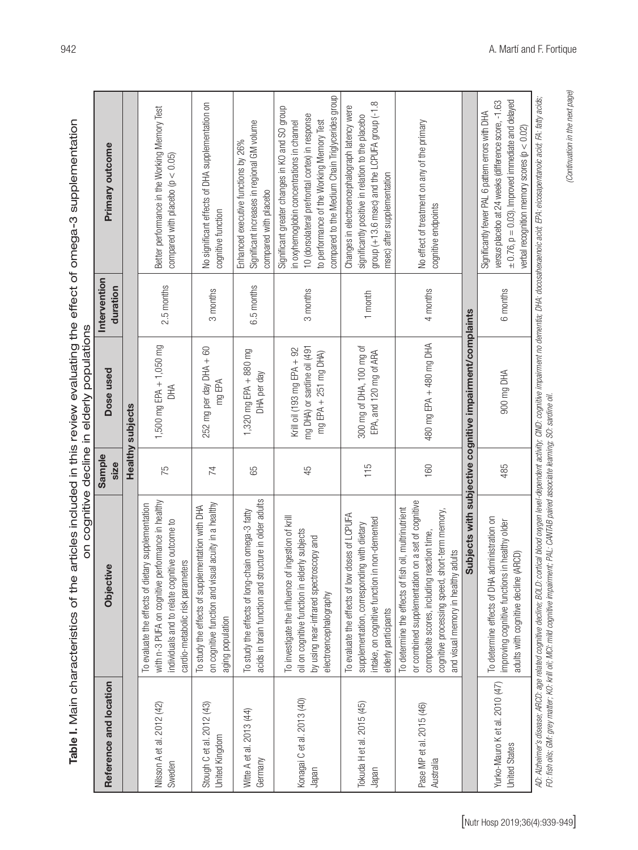Table I. Main characteristics of the articles included in this review evaluating the effect of omega-3 supplementation<br>on cognitive decline in elderly populations Table I. Main characteristics of the articles included in this review evaluating the effect of omega-3 supplementation on cognitive decline in elderly populations

| Reference and location                                 | Objective                                                                                                                                                                                                                                                                                                                                                                | Sample<br><b>Size</b> | Dose used                                                                         | Intervention<br>duration | Primary outcome                                                                                                                                                                                                                                  |
|--------------------------------------------------------|--------------------------------------------------------------------------------------------------------------------------------------------------------------------------------------------------------------------------------------------------------------------------------------------------------------------------------------------------------------------------|-----------------------|-----------------------------------------------------------------------------------|--------------------------|--------------------------------------------------------------------------------------------------------------------------------------------------------------------------------------------------------------------------------------------------|
|                                                        |                                                                                                                                                                                                                                                                                                                                                                          |                       | Healthy subjects                                                                  |                          |                                                                                                                                                                                                                                                  |
| Nilsson A et al. 2012 (42)<br>Sweden                   | with n-3 PUFA on cognitive performance in healthy<br>To evaluate the effects of dietary supplementation<br>individuals and to relate cognitive outcome to<br>cardio-metabolic risk parameters                                                                                                                                                                            | 75                    | 1,500 mg EPA + 1,050 mg<br>£                                                      | 2.5 months               | Better performance in the Working Memory Test<br>compared with placebo ( $p < 0.05$ )                                                                                                                                                            |
| Stough C et al. 2012 (43)<br>United Kingdom            | on cognitive function and visual acuity in a healthy<br>To study the effects of supplementation with DHA<br>aging population                                                                                                                                                                                                                                             | $\overline{7}$        | $252$ mg per day DHA $+60$<br>mg EPA                                              | 3 months                 | No significant effects of DHA supplementation on<br>cognitive function                                                                                                                                                                           |
| Witte A et al. 2013 (44)<br>Germany                    | ucture in older adults<br>To study the effects of long-chain omega-3 fatty<br>acids in brain function and str                                                                                                                                                                                                                                                            | 89                    | 1,320 mg EPA + 880 mg<br>DHA per day                                              | 6.5 months               | Significant increases in regional GM volume<br>Enhanced executive functions by 26%<br>compared with placebo                                                                                                                                      |
| Konagai C et al. 2013 (40)<br>Japan                    | To investigate the influence of ingestion of krill<br>oil on cognitive function in elderly subjects<br>by using near-infrared spectroscopy and<br>electroencephalography                                                                                                                                                                                                 | 45                    | mg DHA) or sardine oil (491<br>Krill oil (193 mg EPA + 92<br>mg EPA + 251 mg DHA) | 3 months                 | compared to the Medium Chain Triglycerides group<br>Significant greater changes in KO and SO group<br>10 (dorsolateral prefrontal cortex) in response<br>to performance of the Working Memory Test<br>in oxyhemoglobin concentrations in channel |
| Tokuda H et al. 2015 (45)<br>Japan                     | doses of LCPUFA<br>non-demented<br>ng with dietary<br>supplementation, correspondir<br>intake, on cognitive function in<br>To evaluate the effects of low<br>elderly participants                                                                                                                                                                                        | 115                   | 300 mg of DHA, 100 mg of<br>EPA, and 120 mg of ARA                                | 1 month                  | group (+13.6 msec) and the LCPUFA group (-1.8<br>Changes in electroencephalograph latency were<br>significantly positive in relation to the placebo<br>msec) after supplementation                                                               |
| Pase MP et al. 2015 (46)<br>Australia                  | or combined supplementation on a set of cognitive<br>To determine the effects of fish oil, multrinutrient<br>cognitive processing speed, short-term memory,<br>composite scores, including reaction time,<br>adults<br>and visual memory in healthy                                                                                                                      | 160                   | 480 mg EPA + 480 mg DHA                                                           | 4 months                 | No effect of treatment on any of the primary<br>cognitive endpoints                                                                                                                                                                              |
|                                                        |                                                                                                                                                                                                                                                                                                                                                                          |                       | Subjects with subjective cognitive impairment/complaints                          |                          |                                                                                                                                                                                                                                                  |
| Yurko-Mauro K et al. 2010 (47)<br><b>United States</b> | To determine effects of DHA administration on<br>in healthy older<br>adults with cognitive decline (ARCD)<br>improving cognitive functions                                                                                                                                                                                                                               | 485                   | 900 mg DHA                                                                        | 6 months                 | versus placebo at 24 weeks (difference score, -1.63<br>$\pm$ 0.76, p = 0.03). Improved immediate and delayed<br>Significantly fewer PAL 6 pattern errors with DHA<br>verbal recognition memory scores ( $p < 0.02$ )                             |
|                                                        | AD: Alzheimer's disease; AROD: age related cognitive decline; BOLD: cortical blood oxygen level-dependent activity; CNUD: cognitive impairment no dementia; DHA: docosahexaenoic acid; EPA: elcosapentanoic acid; FA: fatty ac<br>FO: fish oils; GM: grey matter; KO: krill oil; MCI: mild cognitive impairment; PAL: CANTAB paired associate learning; SO: sardine oil. |                       |                                                                                   |                          |                                                                                                                                                                                                                                                  |

(Continuation in the next page) *(Continuation in the next page)*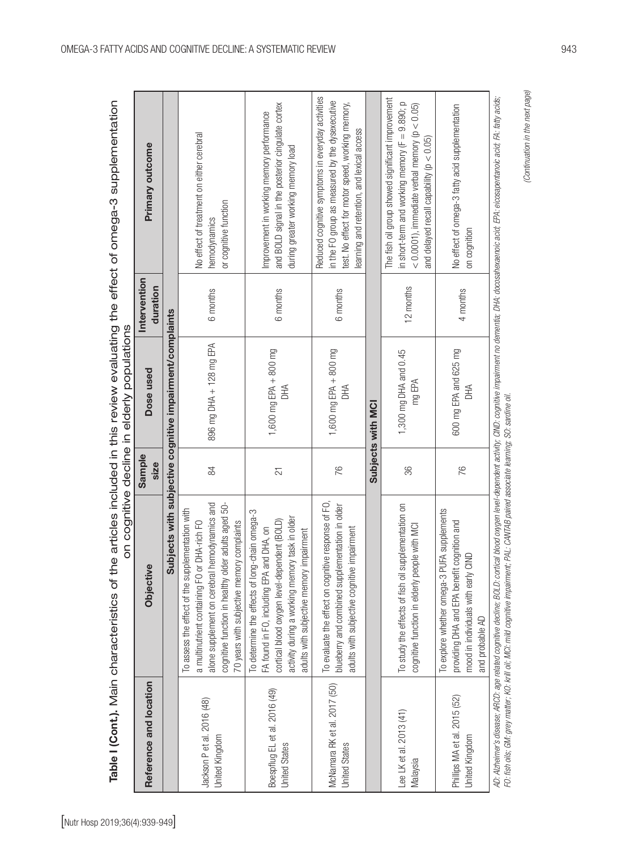|                                                       | Table I (Cont.). Main characteristics of the articles included in this review evaluating the effect of omega-3 supplementation                                                                                                                               |                | on cognitive decline in elderly populations              |                          |                                                                                                                                                                                                              |
|-------------------------------------------------------|--------------------------------------------------------------------------------------------------------------------------------------------------------------------------------------------------------------------------------------------------------------|----------------|----------------------------------------------------------|--------------------------|--------------------------------------------------------------------------------------------------------------------------------------------------------------------------------------------------------------|
| Reference and location                                | Objective                                                                                                                                                                                                                                                    | Sample<br>size | Dose used                                                | Intervention<br>duration | Primary outcome                                                                                                                                                                                              |
|                                                       |                                                                                                                                                                                                                                                              |                | Subjects with subjective cognitive impairment/complaints |                          |                                                                                                                                                                                                              |
| Jackson P et al. 2016 (48)<br>United Kingdom          | cognitive function in healthy older adults aged 50-<br>hemodynamics and<br>To assess the effect of the supplementation with<br>70 years with subjective memory complaints<br>or DHA-rich FO<br>alone supplement on cerebral<br>a multinutrient containing FO | 84             | 896 mg DHA + 128 mg EPA                                  | 6 months                 | No effect of treatment on either cerebral<br>or cognitive function<br>hemodynamics                                                                                                                           |
| Boespflug EL et al. 2016 (49)<br><b>United States</b> | ng-chain omega-3<br>activity during a working memory task in older<br>cortical blood oxygen level-dependent (BOLD)<br>FA found in FO, including EPA and DHA, on<br>adults with subjective memory impairment<br>To determine the effects of lor               | $\overline{2}$ | 1,600 mg EPA + 800 mg<br><b>AHQ</b>                      | 6 months                 | and BOLD signal in the posterior cingulate cortex<br>Improvement in working memory performance<br>during greater working memory load                                                                         |
| McNamara RK et al. 2017 (50)<br><b>United States</b>  | To evaluate the effect on cognitive response of FO,<br>blueberry and combined supplementation in older<br>adults with subjective cognitive impairment                                                                                                        | 76             | 1,600 mg EPA + 800 mg<br>子<br>古                          | 6 months                 | Reduced cognitive symptoms in everyday activities<br>in the FO group as measured by the dysexecutive<br>test. No effect for motor speed, working memory,<br>learning and retention, and lexical access       |
|                                                       |                                                                                                                                                                                                                                                              |                | Subjects with MCI                                        |                          |                                                                                                                                                                                                              |
| ee LK et al. 2013 (41)<br>Malaysia                    | supplementation on<br>cognitive function in elderly people with MCI<br>To study the effects of fish oil                                                                                                                                                      | 36             | 1,300 mg DHA and 0.45<br>mg EPA                          | 12 months                | The fish oil group showed significant improvement<br>in short-term and working memory ( $F = 9.890$ ; p<br>$<$ 0.0001), immediate verbal memory (p $<$ 0.05)<br>and delayed recall capability ( $p < 0.05$ ) |
| Phillips MA et al. 2015 (52)<br><b>Jnited Kingdom</b> | To explore whether omega-3 PUFA supplements<br>providing DHA and EPA benefit cognition and<br>CIND<br>mood in individuals with early<br>and probable AD                                                                                                      | 76             | 600 mg EPA and 625 mg<br>ЭHО                             | 4 months                 | No effect of omega-3 fatty acid supplementation<br>on cognition                                                                                                                                              |

AD: Alzheimer's disease; ARCD: age related cognitive decline; BOLD: cortical body of dependent activity; CND: cognitive impatrment no dementa; DHA: docosahexaenoic acid; EPA: eicosapentanoic acid; EA: fatty acids;<br>FO: fish AD: Alzheimer's disease; ARCD: age related cognitive decline; BOLD: cortical blood oxygen level-dependent activity; CND: cognitive imparment no dementa; DHA: docosahexaenoic acid; EPA: eicosapentanoic acid; FA: tatty acids *FO: fish oils; GM: grey matter; KO: krill oil; MCI: mild cognitive impairment; PAL: CANTAB paired associate learning; SO: sardine oil.*

OMEGA-3 FATTY ACIDS AND COGNITIVE DECLINE: A SYSTEMATIC REVIEW

(Continuation in the next page) *(Continuation in the next page)*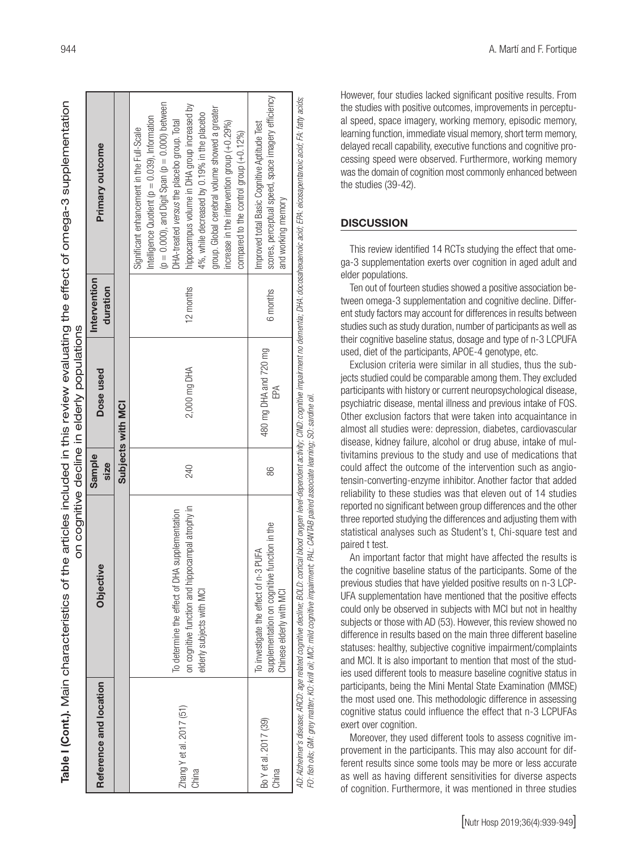Table I (Cont.). Main characteristics of the articles included in this review evaluating the effect of omega-3 supplementation Table I (Cont.). Main characteristics of the articles included in this review evaluating the effect of omega-3 supplementation on cognitive decline in elderly populations on cognitive decline in elderly populations

| Reference and location             | <b>Objective</b>                                                                                                                                                                                                               | Sample<br>size | Dose used                    | Intervention<br>duration | Primary outcome                                                                                                                                                                                                                                                                                                                                                                                                                                    |
|------------------------------------|--------------------------------------------------------------------------------------------------------------------------------------------------------------------------------------------------------------------------------|----------------|------------------------------|--------------------------|----------------------------------------------------------------------------------------------------------------------------------------------------------------------------------------------------------------------------------------------------------------------------------------------------------------------------------------------------------------------------------------------------------------------------------------------------|
|                                    |                                                                                                                                                                                                                                |                | Subjects with MCI            |                          |                                                                                                                                                                                                                                                                                                                                                                                                                                                    |
| Zhang Y et al. $2017(51)$<br>China | on cognitive function and hippocampal atrophy in<br>To determine the effect of DHA supplementation<br>elderly subjects with MCI                                                                                                | 240            | 2,000 mg DHA                 | 12 months                | ( $p = 0.000$ ), and Digit Span ( $p = 0.000$ ) between<br>hippocampus volume in DHA group increased by<br>group. Global cerebral volume showed a greater<br>4%, while decreased by 0.19% in the placebo<br>Intelligence Quotient (p = 0.039), Information<br>DHA-treated versus the placebo group. Total<br>increase in the intervention group $(+0.29\%)$<br>Significant enhancement in the Full-Scale<br>compared to the control group (+0.12%) |
| Bo Y et al. 2017 (39)<br>China     | supplementation on cognitive function in the<br>To investigate the effect of n-3 PUFA<br>Chinese elderly with MCI                                                                                                              | 86             | 480 mg DHA and 720 mg<br>EPA | 6 months                 | scores, perceptual speed, space imagery efficiency<br>Improved total Basic Cognitive Aptitude Test<br>and working memory                                                                                                                                                                                                                                                                                                                           |
|                                    | AD: Abheimer's disease; ARCD: age related cognitive decline; BOLD: cortical blood oxygen level-dependent activity; CNU): cognitive impairment no dementa; DHA: docosahexaenoic acid; EPA: eicosapentanoic acid; FA: fatty acid |                |                              |                          |                                                                                                                                                                                                                                                                                                                                                                                                                                                    |

FO; fish olis; GM; grey matter; KO; krill oli; MCI; mild cognitive impairment; PAL: CANTAB paired associate learning; SO; sardine oli. *FO: fish oils; GM: grey matter; KO: krill oil; MCI: mild cognitive impairment; PAL: CANTAB paired associate learning; SO: sardine oil.* However, four studies lacked significant positive results. From the studies with positive outcomes, improvements in perceptual speed, space imagery, working memory, episodic memory, learning function, immediate visual memory, short term memory, delayed recall capability, executive functions and cognitive processing speed were observed. Furthermore, working memory was the domain of cognition most commonly enhanced between the studies (39-42).

#### **DISCUSSION**

This review identified 14 RCTs studying the effect that omega-3 supplementation exerts over cognition in aged adult and elder populations.

Ten out of fourteen studies showed a positive association between omega-3 supplementation and cognitive decline. Different study factors may account for differences in results between studies such as study duration, number of participants as well as their cognitive baseline status, dosage and type of n-3 LCPUFA used, diet of the participants, APOE-4 genotype, etc.

Exclusion criteria were similar in all studies, thus the subjects studied could be comparable among them. They excluded participants with history or current neuropsychological disease, psychiatric disease, mental illness and previous intake of FOS. Other exclusion factors that were taken into acquaintance in almost all studies were: depression, diabetes, cardiovascular disease, kidney failure, alcohol or drug abuse, intake of multivitamins previous to the study and use of medications that could affect the outcome of the intervention such as angiotensin-converting-enzyme inhibitor. Another factor that added reliability to these studies was that eleven out of 14 studies reported no significant between group differences and the other three reported studying the differences and adjusting them with statistical analyses such as Student's t, Chi-square test and paired t test.

An important factor that might have affected the results is the cognitive baseline status of the participants. Some of the previous studies that have yielded positive results on n-3 LCP-UFA supplementation have mentioned that the positive effects could only be observed in subjects with MCI but not in healthy subjects or those with AD (53). However, this review showed no difference in results based on the main three different baseline statuses: healthy, subjective cognitive impairment/complaints and MCI. It is also important to mention that most of the studies used different tools to measure baseline cognitive status in participants, being the Mini Mental State Examination (MMSE) the most used one. This methodologic difference in assessing cognitive status could influence the effect that n-3 LCPUFAs exert over cognition.

Moreover, they used different tools to assess cognitive improvement in the participants. This may also account for different results since some tools may be more or less accurate as well as having different sensitivities for diverse aspects of cognition. Furthermore, it was mentioned in three studies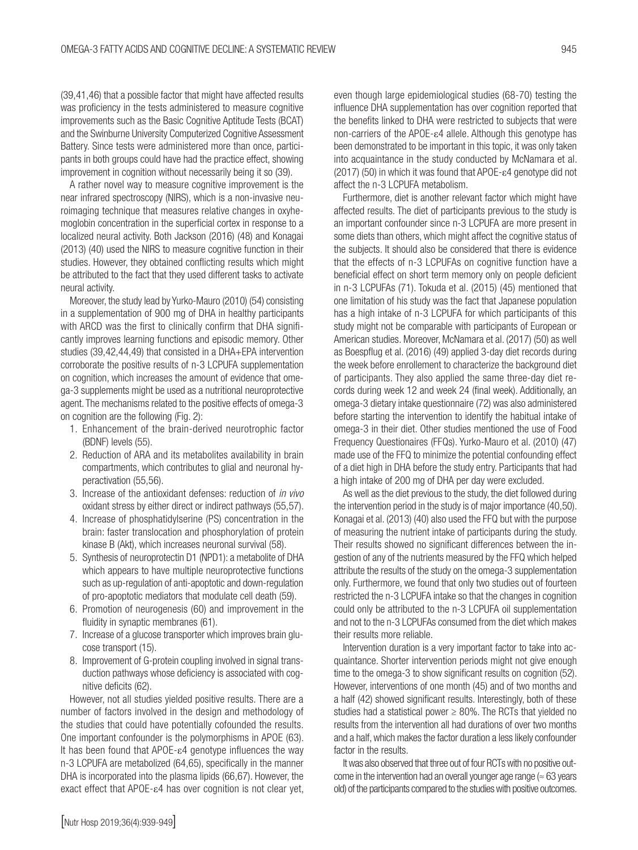(39,41,46) that a possible factor that might have affected results was proficiency in the tests administered to measure cognitive improvements such as the Basic Cognitive Aptitude Tests (BCAT) and the Swinburne University Computerized Cognitive Assessment Battery. Since tests were administered more than once, participants in both groups could have had the practice effect, showing improvement in cognition without necessarily being it so (39).

A rather novel way to measure cognitive improvement is the near infrared spectroscopy (NIRS), which is a non-invasive neuroimaging technique that measures relative changes in oxyhemoglobin concentration in the superficial cortex in response to a localized neural activity. Both Jackson (2016) (48) and Konagai (2013) (40) used the NIRS to measure cognitive function in their studies. However, they obtained conflicting results which might be attributed to the fact that they used different tasks to activate neural activity.

Moreover, the study lead by Yurko-Mauro (2010) (54) consisting in a supplementation of 900 mg of DHA in healthy participants with ARCD was the first to clinically confirm that DHA significantly improves learning functions and episodic memory. Other studies (39,42,44,49) that consisted in a DHA+EPA intervention corroborate the positive results of n-3 LCPUFA supplementation on cognition, which increases the amount of evidence that omega-3 supplements might be used as a nutritional neuroprotective agent. The mechanisms related to the positive effects of omega-3 on cognition are the following (Fig. 2):

- 1. Enhancement of the brain-derived neurotrophic factor (BDNF) levels (55).
- 2. Reduction of ARA and its metabolites availability in brain compartments, which contributes to glial and neuronal hyperactivation (55,56).
- 3. Increase of the antioxidant defenses: reduction of *in vivo* oxidant stress by either direct or indirect pathways (55,57).
- 4. Increase of phosphatidylserine (PS) concentration in the brain: faster translocation and phosphorylation of protein kinase B (Akt), which increases neuronal survival (58).
- 5. Synthesis of neuroprotectin D1 (NPD1): a metabolite of DHA which appears to have multiple neuroprotective functions such as up-regulation of anti-apoptotic and down-regulation of pro-apoptotic mediators that modulate cell death (59).
- 6. Promotion of neurogenesis (60) and improvement in the fluidity in synaptic membranes (61).
- 7. Increase of a glucose transporter which improves brain glucose transport (15).
- 8. Improvement of G-protein coupling involved in signal transduction pathways whose deficiency is associated with cognitive deficits (62).

However, not all studies yielded positive results. There are a number of factors involved in the design and methodology of the studies that could have potentially cofounded the results. One important confounder is the polymorphisms in APOE (63). It has been found that APOE-ε4 genotype influences the way n-3 LCPUFA are metabolized (64,65), specifically in the manner DHA is incorporated into the plasma lipids (66,67). However, the exact effect that APOE-ε4 has over cognition is not clear yet,

even though large epidemiological studies (68-70) testing the influence DHA supplementation has over cognition reported that the benefits linked to DHA were restricted to subjects that were non-carriers of the APOE-ε4 allele. Although this genotype has been demonstrated to be important in this topic, it was only taken into acquaintance in the study conducted by McNamara et al. (2017) (50) in which it was found that APOE-ε4 genotype did not affect the n-3 LCPUFA metabolism.

Furthermore, diet is another relevant factor which might have affected results. The diet of participants previous to the study is an important confounder since n-3 LCPUFA are more present in some diets than others, which might affect the cognitive status of the subjects. It should also be considered that there is evidence that the effects of n-3 LCPUFAs on cognitive function have a beneficial effect on short term memory only on people deficient in n-3 LCPUFAs (71). Tokuda et al. (2015) (45) mentioned that one limitation of his study was the fact that Japanese population has a high intake of n-3 LCPUFA for which participants of this study might not be comparable with participants of European or American studies. Moreover, McNamara et al. (2017) (50) as well as Boespflug et al. (2016) (49) applied 3-day diet records during the week before enrollement to characterize the background diet of participants. They also applied the same three-day diet records during week 12 and week 24 (final week). Additionally, an omega-3 dietary intake questionnaire (72) was also administered before starting the intervention to identify the habitual intake of omega-3 in their diet. Other studies mentioned the use of Food Frequency Questionaires (FFQs). Yurko-Mauro et al. (2010) (47) made use of the FFQ to minimize the potential confounding effect of a diet high in DHA before the study entry. Participants that had a high intake of 200 mg of DHA per day were excluded.

As well as the diet previous to the study, the diet followed during the intervention period in the study is of major importance (40,50). Konagai et al. (2013) (40) also used the FFQ but with the purpose of measuring the nutrient intake of participants during the study. Their results showed no significant differences between the ingestion of any of the nutrients measured by the FFQ which helped attribute the results of the study on the omega-3 supplementation only. Furthermore, we found that only two studies out of fourteen restricted the n-3 LCPUFA intake so that the changes in cognition could only be attributed to the n-3 LCPUFA oil supplementation and not to the n-3 LCPUFAs consumed from the diet which makes their results more reliable.

Intervention duration is a very important factor to take into acquaintance. Shorter intervention periods might not give enough time to the omega-3 to show significant results on cognition (52). However, interventions of one month (45) and of two months and a half (42) showed significant results. Interestingly, both of these studies had a statistical power  $\geq$  80%. The RCTs that yielded no results from the intervention all had durations of over two months and a half, which makes the factor duration a less likely confounder factor in the results.

It was also observed that three out of four RCTs with no positive outcome in the intervention had an overall younger age range ( $\approx 63$  years old) of the participants compared to the studies with positive outcomes.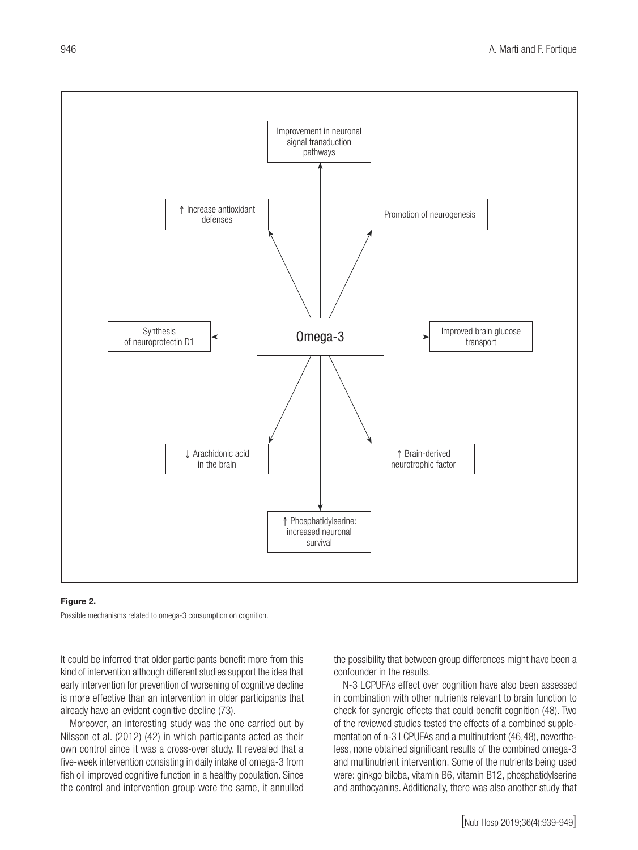

#### Figure 2.

Possible mechanisms related to omega-3 consumption on cognition.

It could be inferred that older participants benefit more from this kind of intervention although different studies support the idea that early intervention for prevention of worsening of cognitive decline is more effective than an intervention in older participants that already have an evident cognitive decline (73).

Moreover, an interesting study was the one carried out by Nilsson et al. (2012) (42) in which participants acted as their own control since it was a cross-over study. It revealed that a five-week intervention consisting in daily intake of omega-3 from fish oil improved cognitive function in a healthy population. Since the control and intervention group were the same, it annulled

the possibility that between group differences might have been a confounder in the results.

N-3 LCPUFAs effect over cognition have also been assessed in combination with other nutrients relevant to brain function to check for synergic effects that could benefit cognition (48). Two of the reviewed studies tested the effects of a combined supplementation of n-3 LCPUFAs and a multinutrient (46,48), nevertheless, none obtained significant results of the combined omega-3 and multinutrient intervention. Some of the nutrients being used were: ginkgo biloba, vitamin B6, vitamin B12, phosphatidylserine and anthocyanins. Additionally, there was also another study that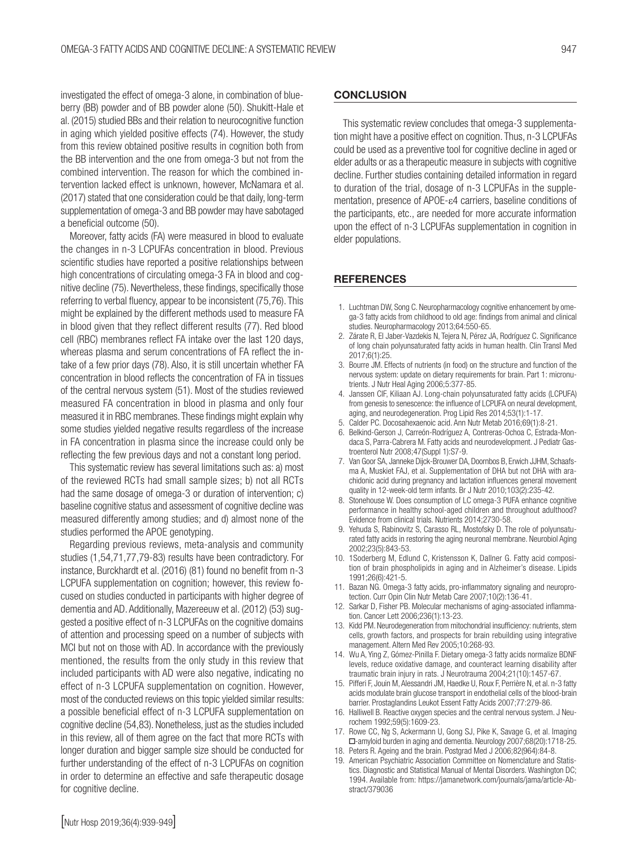investigated the effect of omega-3 alone, in combination of blueberry (BB) powder and of BB powder alone (50). Shukitt-Hale et al. (2015) studied BBs and their relation to neurocognitive function in aging which yielded positive effects (74). However, the study from this review obtained positive results in cognition both from the BB intervention and the one from omega-3 but not from the combined intervention. The reason for which the combined intervention lacked effect is unknown, however, McNamara et al. (2017) stated that one consideration could be that daily, long-term supplementation of omega-3 and BB powder may have sabotaged a beneficial outcome (50).

Moreover, fatty acids (FA) were measured in blood to evaluate the changes in n-3 LCPUFAs concentration in blood. Previous scientific studies have reported a positive relationships between high concentrations of circulating omega-3 FA in blood and cognitive decline (75). Nevertheless, these findings, specifically those referring to verbal fluency, appear to be inconsistent (75,76). This might be explained by the different methods used to measure FA in blood given that they reflect different results (77). Red blood cell (RBC) membranes reflect FA intake over the last 120 days, whereas plasma and serum concentrations of FA reflect the intake of a few prior days (78). Also, it is still uncertain whether FA concentration in blood reflects the concentration of FA in tissues of the central nervous system (51). Most of the studies reviewed measured FA concentration in blood in plasma and only four measured it in RBC membranes. These findings might explain why some studies yielded negative results regardless of the increase in FA concentration in plasma since the increase could only be reflecting the few previous days and not a constant long period.

This systematic review has several limitations such as: a) most of the reviewed RCTs had small sample sizes; b) not all RCTs had the same dosage of omega-3 or duration of intervention; c) baseline cognitive status and assessment of cognitive decline was measured differently among studies; and d) almost none of the studies performed the APOE genotyping.

Regarding previous reviews, meta-analysis and community studies (1,54,71,77,79-83) results have been contradictory. For instance, Burckhardt et al. (2016) (81) found no benefit from n-3 LCPUFA supplementation on cognition; however, this review focused on studies conducted in participants with higher degree of dementia and AD. Additionally, Mazereeuw et al. (2012) (53) suggested a positive effect of n-3 LCPUFAs on the cognitive domains of attention and processing speed on a number of subjects with MCI but not on those with AD. In accordance with the previously mentioned, the results from the only study in this review that included participants with AD were also negative, indicating no effect of n-3 LCPUFA supplementation on cognition. However, most of the conducted reviews on this topic yielded similar results: a possible beneficial effect of n-3 LCPUFA supplementation on cognitive decline (54,83). Nonetheless, just as the studies included in this review, all of them agree on the fact that more RCTs with longer duration and bigger sample size should be conducted for further understanding of the effect of n-3 LCPUFAs on cognition in order to determine an effective and safe therapeutic dosage for cognitive decline.

#### **CONCLUSION**

This systematic review concludes that omega-3 supplementation might have a positive effect on cognition. Thus, n-3 LCPUFAs could be used as a preventive tool for cognitive decline in aged or elder adults or as a therapeutic measure in subjects with cognitive decline. Further studies containing detailed information in regard to duration of the trial, dosage of n-3 LCPUFAs in the supplementation, presence of APOE-ε4 carriers, baseline conditions of the participants, etc., are needed for more accurate information upon the effect of n-3 LCPUFAs supplementation in cognition in elder populations.

#### **REFERENCES**

- 1. Luchtman DW, Song C. Neuropharmacology cognitive enhancement by omega-3 fatty acids from childhood to old age: findings from animal and clinical studies. Neuropharmacology 2013;64:550-65.
- 2. Zárate R, El Jaber-Vazdekis N, Tejera N, Pérez JA, Rodríguez C. Significance of long chain polyunsaturated fatty acids in human health. Clin Transl Med 2017;6(1):25.
- 3. Bourre JM. Effects of nutrients (in food) on the structure and function of the nervous system: update on dietary requirements for brain. Part 1: micronutrients. J Nutr Heal Aging 2006;5:377-85.
- 4. Janssen CIF, Kiliaan AJ. Long-chain polyunsaturated fatty acids (LCPUFA) from genesis to senescence: the influence of LCPUFA on neural development, aging, and neurodegeneration. Prog Lipid Res 2014;53(1):1-17.
- 5. Calder PC. Docosahexaenoic acid. Ann Nutr Metab 2016;69(1):8-21.
- 6. Belkind-Gerson J, Carreón-Rodríguez A, Contreras-Ochoa C, Estrada-Mondaca S, Parra-Cabrera M. Fatty acids and neurodevelopment. J Pediatr Gastroenterol Nutr 2008;47(Suppl 1):S7-9.
- 7. Van Goor SA, Janneke Dijck-Brouwer DA, Doornbos B, Erwich JJHM, Schaafsma A, Muskiet FAJ, et al. Supplementation of DHA but not DHA with arachidonic acid during pregnancy and lactation influences general movement quality in 12-week-old term infants. Br J Nutr 2010;103(2):235-42.
- 8. Stonehouse W. Does consumption of LC omega-3 PUFA enhance cognitive performance in healthy school-aged children and throughout adulthood? Evidence from clinical trials. Nutrients 2014;2730-58.
- 9. Yehuda S, Rabinovitz S, Carasso RL, Mostofsky D. The role of polyunsaturated fatty acids in restoring the aging neuronal membrane. Neurobiol Aging 2002;23(5):843-53.
- 10. 1Soderberg M, Edlund C, Kristensson K, Dallner G. Fatty acid composition of brain phospholipids in aging and in Alzheimer's disease. Lipids 1991;26(6):421-5.
- 11. Bazan NG. Omega-3 fatty acids, pro-inflammatory signaling and neuroprotection. Curr Opin Clin Nutr Metab Care 2007;10(2):136-41.
- 12. Sarkar D, Fisher PB. Molecular mechanisms of aging-associated inflammation. Cancer Lett 2006;236(1):13-23.
- 13. Kidd PM. Neurodegeneration from mitochondrial insufficiency: nutrients, stem cells, growth factors, and prospects for brain rebuilding using integrative management. Altern Med Rev 2005;10:268-93.
- 14. Wu A, Ying Z, Gómez-Pinilla F. Dietary omega-3 fatty acids normalize BDNF levels, reduce oxidative damage, and counteract learning disability after traumatic brain injury in rats. J Neurotrauma 2004;21(10):1457-67.
- 15. Pifferi F, Jouin M, Alessandri JM, Haedke U, Roux F, Perrière N, et al. n-3 fatty acids modulate brain glucose transport in endothelial cells of the blood-brain barrier. Prostaglandins Leukot Essent Fatty Acids 2007;77:279-86.
- 16. Halliwell B. Reactive oxygen species and the central nervous system. J Neurochem 1992;59(5):1609-23.
- 17. Rowe CC, Ng S, Ackermann U, Gong SJ, Pike K, Savage G, et al. Imaging β-amyloid burden in aging and dementia. Neurology 2007;68(20):1718-25.
- 18. Peters R. Ageing and the brain. Postgrad Med J 2006;82(964):84-8.
- 19. American Psychiatric Association Committee on Nomenclature and Statistics. Diagnostic and Statistical Manual of Mental Disorders. Washington DC; 1994. Available from: https://jamanetwork.com/journals/jama/article-Abstract/379036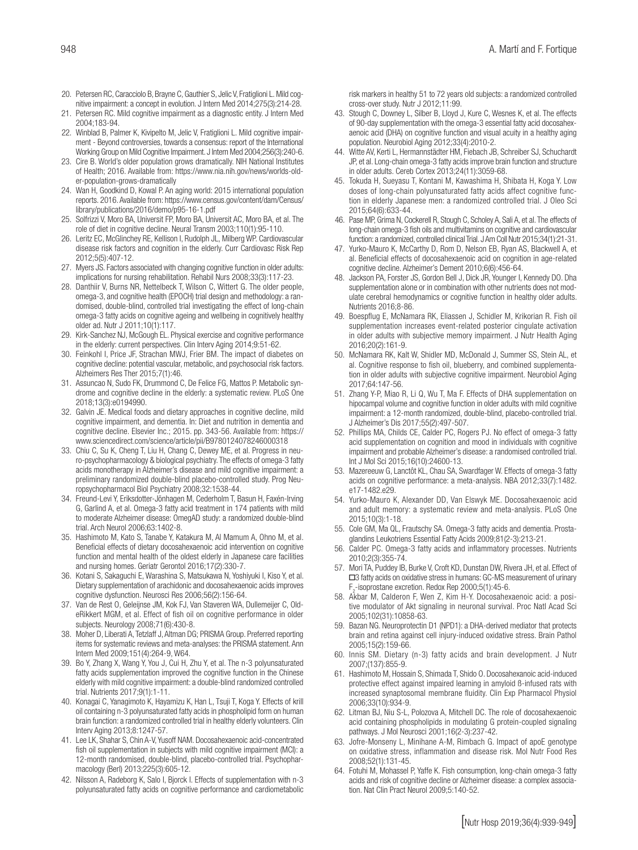- 20. Petersen RC, Caracciolo B, Brayne C, Gauthier S, Jelic V, Fratiglioni L. Mild cognitive impairment: a concept in evolution. J Intern Med 2014;275(3):214-28.
- 21. Petersen RC. Mild cognitive impairment as a diagnostic entity. J Intern Med 2004;183-94.
- 22. Winblad B, Palmer K, Kivipelto M, Jelic V, Fratiglioni L. Mild cognitive impairment - Beyond controversies, towards a consensus: report of the International Working Group on Mild Cognitive Impairment. J Intern Med 2004;256(3):240-6.
- 23. Cire B. World's older population grows dramatically. NIH National Institutes of Health; 2016. Available from: https://www.nia.nih.gov/news/worlds-older-population-grows-dramatically
- 24. Wan H, Goodkind D, Kowal P. An aging world: 2015 international population reports. 2016. Available from: https://www.census.gov/content/dam/Census/ library/publications/2016/demo/p95-16-1.pdf
- 25. Solfrizzi V, Moro BA, Universit FP, Moro BA, Universit AC, Moro BA, et al. The role of diet in cognitive decline. Neural Transm 2003;110(1):95-110.
- 26. Leritz EC, McGlinchey RE, Kellison I, Rudolph JL, Milberg WP. Cardiovascular disease risk factors and cognition in the elderly. Curr Cardiovasc Risk Rep 2012;5(5):407-12.
- 27. Myers JS. Factors associated with changing cognitive function in older adults: implications for nursing rehabilitation. Rehabil Nurs 2008;33(3):117-23.
- 28. Danthiir V, Burns NR, Nettelbeck T, Wilson C, Wittert G. The older people, omega-3, and cognitive health (EPOCH) trial design and methodology: a randomised, double-blind, controlled trial investigating the effect of long-chain omega-3 fatty acids on cognitive ageing and wellbeing in cognitively healthy older ad. Nutr J 2011;10(1):117.
- 29. Kirk-Sanchez NJ, McGough EL. Physical exercise and cognitive performance in the elderly: current perspectives. Clin Interv Aging 2014;9:51-62.
- 30. Feinkohl I, Price JF, Strachan MWJ, Frier BM. The impact of diabetes on cognitive decline: potential vascular, metabolic, and psychosocial risk factors. Alzheimers Res Ther 2015;7(1):46.
- 31. Assuncao N, Sudo FK, Drummond C, De Felice FG, Mattos P. Metabolic syndrome and cognitive decline in the elderly: a systematic review. PLoS One 2018;13(3):e0194990.
- 32. Galvin JE. Medical foods and dietary approaches in cognitive decline, mild cognitive impairment, and dementia. In: Diet and nutrition in dementia and cognitive decline. Elsevier Inc.; 2015. pp. 343-56. Available from: https:// www.sciencedirect.com/science/article/pii/B9780124078246000318
- 33. Chiu C, Su K, Cheng T, Liu H, Chang C, Dewey ME, et al. Progress in neuro-psychopharmacology & biological psychiatry. The effects of omega-3 fatty acids monotherapy in Alzheimer's disease and mild cognitive impairment: a preliminary randomized double-blind placebo-controlled study. Prog Neuropsychopharmacol Biol Psychiatry 2008;32:1538-44.
- 34. Freund-Levi Y, Eriksdotter-Jönhagen M, Cederholm T, Basun H, Faxén-Irving G, Garlind A, et al. Omega-3 fatty acid treatment in 174 patients with mild to moderate Alzheimer disease: OmegAD study: a randomized double-blind trial. Arch Neurol 2006;63:1402-8.
- 35. Hashimoto M, Kato S, Tanabe Y, Katakura M, Al Mamum A, Ohno M, et al. Beneficial effects of dietary docosahexaenoic acid intervention on cognitive function and mental health of the oldest elderly in Japanese care facilities and nursing homes. Geriatr Gerontol 2016;17(2):330-7.
- 36. Kotani S, Sakaguchi E, Warashina S, Matsukawa N, Yoshiyuki I, Kiso Y, et al. Dietary supplementation of arachidonic and docosahexaenoic acids improves cognitive dysfunction. Neurosci Res 2006;56(2):156-64.
- 37. Van de Rest O, Geleijnse JM, Kok FJ, Van Staveren WA, Dullemeijer C, OldeRikkert MGM, et al. Effect of fish oil on cognitive performance in older subjects. Neurology 2008;71(6):430-8.
- 38. Moher D, Liberati A, Tetzlaff J, Altman DG; PRISMA Group. Preferred reporting items for systematic reviews and meta-analyses: the PRISMA statement. Ann Intern Med 2009;151(4):264-9, W64.
- 39. Bo Y, Zhang X, Wang Y, You J, Cui H, Zhu Y, et al. The n-3 polyunsaturated fatty acids supplementation improved the cognitive function in the Chinese elderly with mild cognitive impairment: a double-blind randomized controlled trial. Nutrients 2017;9(1):1-11.
- 40. Konagai C, Yanagimoto K, Hayamizu K, Han L, Tsuji T, Koga Y. Effects of krill oil containing n-3 polyunsaturated fatty acids in phospholipid form on human brain function: a randomized controlled trial in healthy elderly volunteers. Clin Interv Aging 2013;8:1247-57.
- 41. Lee LK, Shahar S, Chin A-V, Yusoff NAM. Docosahexaenoic acid-concentrated fish oil supplementation in subjects with mild cognitive impairment (MCI): a 12-month randomised, double-blind, placebo-controlled trial. Psychopharmacology (Berl) 2013;225(3):605-12.
- 42. Nilsson A, Radeborg K, Salo I, Bjorck I. Effects of supplementation with n-3 polyunsaturated fatty acids on cognitive performance and cardiometabolic

risk markers in healthy 51 to 72 years old subjects: a randomized controlled cross-over study. Nutr J 2012;11:99.

- 43. Stough C, Downey L, Silber B, Lloyd J, Kure C, Wesnes K, et al. The effects of 90-day supplementation with the omega-3 essential fatty acid docosahexaenoic acid (DHA) on cognitive function and visual acuity in a healthy aging population. Neurobiol Aging 2012;33(4):2010-2.
- 44. Witte AV, Kerti L, Hermannstädter HM, Fiebach JB, Schreiber SJ, Schuchardt JP, et al. Long-chain omega-3 fatty acids improve brain function and structure in older adults. Cereb Cortex 2013;24(11):3059-68.
- 45. Tokuda H, Sueyasu T, Kontani M, Kawashima H, Shibata H, Koga Y. Low doses of long-chain polyunsaturated fatty acids affect cognitive function in elderly Japanese men: a randomized controlled trial. J Oleo Sci 2015;64(6):633-44.
- 46. Pase MP, Grima N, Cockerell R, Stough C, Scholey A, Sali A, et al. The effects of long-chain omega-3 fish oils and multivitamins on cognitive and cardiovascular function: a randomized, controlled clinical Trial. J Am Coll Nutr 2015;34(1):21-31.
- 47. Yurko-Mauro K, McCarthy D, Rom D, Nelson EB, Ryan AS, Blackwell A, et al. Beneficial effects of docosahexaenoic acid on cognition in age-related cognitive decline. Alzheimer's Dement 2010;6(6):456-64.
- 48. Jackson PA, Forster JS, Gordon Bell J, Dick JR, Younger I, Kennedy DO. Dha supplementation alone or in combination with other nutrients does not modulate cerebral hemodynamics or cognitive function in healthy older adults. Nutrients 2016;8-86.
- 49. Boespflug E, McNamara RK, Eliassen J, Schidler M, Krikorian R. Fish oil supplementation increases event-related posterior cingulate activation in older adults with subjective memory impairment. J Nutr Health Aging 2016;20(2):161-9.
- 50. McNamara RK, Kalt W, Shidler MD, McDonald J, Summer SS, Stein AL, et al. Cognitive response to fish oil, blueberry, and combined supplementation in older adults with subjective cognitive impairment. Neurobiol Aging 2017;64:147-56.
- 51. Zhang Y-P, Miao R, Li Q, Wu T, Ma F. Effects of DHA supplementation on hipocampal volume and cognitive function in older adults with mild cognitive impairment: a 12-month randomized, double-blind, placebo-controlled trial. J Alzheimer's Dis 2017;55(2):497-507.
- 52. Phillips MA, Childs CE, Calder PC, Rogers PJ. No effect of omega-3 fatty acid supplementation on cognition and mood in individuals with cognitive impairment and probable Alzheimer's disease: a randomised controlled trial. Int J Mol Sci 2015;16(10):24600-13.
- 53. Mazereeuw G, Lanctôt KL, Chau SA, Swardfager W. Effects of omega-3 fatty acids on cognitive performance: a meta-analysis. NBA 2012;33(7):1482. e17-1482.e29.
- 54. Yurko-Mauro K, Alexander DD, Van Elswyk ME. Docosahexaenoic acid and adult memory: a systematic review and meta-analysis. PLoS One 2015;10(3):1-18.
- 55. Cole GM, Ma QL, Frautschy SA. Omega-3 fatty acids and dementia. Prostaglandins Leukotriens Essential Fatty Acids 2009;81(2-3):213-21.
- 56. Calder PC. Omega-3 fatty acids and inflammatory processes. Nutrients 2010;2(3):355-74.
- 57. Mori TA, Puddey IB, Burke V, Croft KD, Dunstan DW, Rivera JH, et al. Effect of ω3 fatty acids on oxidative stress in humans: GC-MS measurement of urinary F2 -isoprostane excretion. Redox Rep 2000;5(1):45-6.
- 58. Akbar M, Calderon F, Wen Z, Kim H-Y. Docosahexaenoic acid: a positive modulator of Akt signaling in neuronal survival. Proc Natl Acad Sci 2005;102(31):10858-63.
- 59. Bazan NG. Neuroprotectin D1 (NPD1): a DHA-derived mediator that protects brain and retina against cell injury-induced oxidative stress. Brain Pathol 2005;15(2):159-66.
- 60. Innis SM. Dietary (n-3) fatty acids and brain development. J Nutr 2007;(137):855-9.
- 61. Hashimoto M, Hossain S, Shimada T, Shido O. Docosahexanoic acid-induced protective effect against impaired learning in amyloid ß-infused rats with increased synaptosomal membrane fluidity. Clin Exp Pharmacol Physiol 2006;33(10):934-9.
- 62. Litman BJ, Niu S-L, Polozova A, Mitchell DC. The role of docosahexaenoic acid containing phospholipids in modulating G protein-coupled signaling pathways. J Mol Neurosci 2001;16(2-3):237-42.
- 63. Jofre-Monseny L, Minihane A-M, Rimbach G. Impact of apoE genotype on oxidative stress, inflammation and disease risk. Mol Nutr Food Res 2008;52(1):131-45.
- 64. Fotuhi M, Mohassel P, Yaffe K. Fish consumption, long-chain omega-3 fatty acids and risk of cognitive decline or Alzheimer disease: a complex association. Nat Clin Pract Neurol 2009;5:140-52.